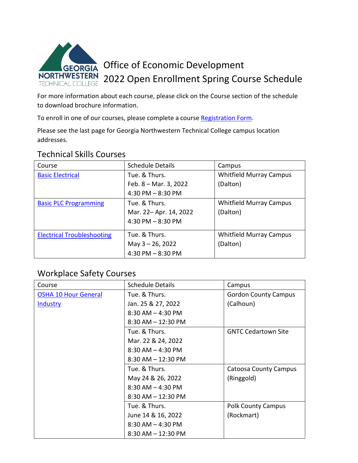

 to download brochure information. For more information about each course, please click on the Course section of the schedule

To enroll in one of our courses, please complete a course **Registration Form**.

Please see the last page for Georgia Northwestern Technical College campus location addresses.

## Technical Skills Courses

| Course                            | <b>Schedule Details</b> | Campus                         |
|-----------------------------------|-------------------------|--------------------------------|
| <b>Basic Electrical</b>           | Tue. & Thurs.           | <b>Whitfield Murray Campus</b> |
|                                   | Feb. 8 - Mar. 3, 2022   | (Dalton)                       |
|                                   | $4:30$ PM $-8:30$ PM    |                                |
| <b>Basic PLC Programming</b>      | Tue. & Thurs.           | <b>Whitfield Murray Campus</b> |
|                                   | Mar. 22- Apr. 14, 2022  | (Dalton)                       |
|                                   | 4:30 PM $-$ 8:30 PM     |                                |
| <b>Electrical Troubleshooting</b> | Tue. & Thurs.           | <b>Whitfield Murray Campus</b> |
|                                   | May 3 - 26, 2022        | (Dalton)                       |
|                                   | $4:30$ PM $-8:30$ PM    |                                |

## Workplace Safety Courses

| Course                      | <b>Schedule Details</b> | Campus                       |
|-----------------------------|-------------------------|------------------------------|
| <b>OSHA 10 Hour General</b> | Tue. & Thurs.           | <b>Gordon County Campus</b>  |
| <b>Industry</b>             | Jan. 25 & 27, 2022      | (Calhoun)                    |
|                             | $8:30$ AM $-$ 4:30 PM   |                              |
|                             | $8:30$ AM $- 12:30$ PM  |                              |
|                             | Tue. & Thurs.           | <b>GNTC Cedartown Site</b>   |
|                             | Mar. 22 & 24, 2022      |                              |
|                             | $8:30$ AM $-$ 4:30 PM   |                              |
|                             | $8:30$ AM $- 12:30$ PM  |                              |
|                             | Tue. & Thurs.           | <b>Catoosa County Campus</b> |
|                             | May 24 & 26, 2022       | (Ringgold)                   |
|                             | $8:30$ AM $-$ 4:30 PM   |                              |
|                             | $8:30$ AM $- 12:30$ PM  |                              |
|                             | Tue. & Thurs.           | <b>Polk County Campus</b>    |
|                             | June 14 & 16, 2022      | (Rockmart)                   |
|                             | $8:30$ AM $-$ 4:30 PM   |                              |
|                             | $8:30$ AM $- 12:30$ PM  |                              |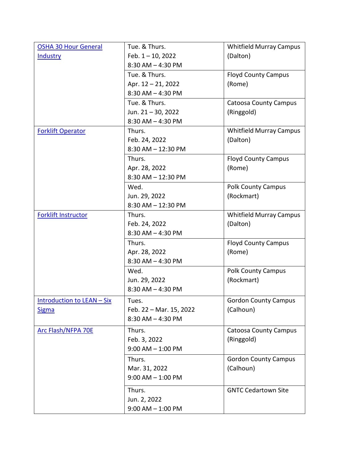| <b>OSHA 30 Hour General</b> | Tue. & Thurs.                          | <b>Whitfield Murray Campus</b> |
|-----------------------------|----------------------------------------|--------------------------------|
| <b>Industry</b>             | Feb. 1-10, 2022                        | (Dalton)                       |
|                             | 8:30 AM - 4:30 PM                      |                                |
|                             | Tue. & Thurs.                          | <b>Floyd County Campus</b>     |
|                             | Apr. 12 - 21, 2022                     | (Rome)                         |
|                             | $8:30$ AM $-$ 4:30 PM                  |                                |
|                             | Tue. & Thurs.                          | <b>Catoosa County Campus</b>   |
|                             | Jun. 21-30, 2022                       | (Ringgold)                     |
|                             | $8:30$ AM $-$ 4:30 PM                  |                                |
| <b>Forklift Operator</b>    | Thurs.                                 | <b>Whitfield Murray Campus</b> |
|                             | Feb. 24, 2022                          | (Dalton)                       |
|                             | 8:30 AM - 12:30 PM                     |                                |
|                             | Thurs.                                 | <b>Floyd County Campus</b>     |
|                             | Apr. 28, 2022                          | (Rome)                         |
|                             | 8:30 AM - 12:30 PM                     |                                |
|                             | Wed.                                   | <b>Polk County Campus</b>      |
|                             | Jun. 29, 2022                          | (Rockmart)                     |
|                             | 8:30 AM - 12:30 PM                     |                                |
| <b>Forklift Instructor</b>  | Thurs.                                 | <b>Whitfield Murray Campus</b> |
|                             | Feb. 24, 2022                          | (Dalton)                       |
|                             | $8:30$ AM $-$ 4:30 PM                  |                                |
|                             | Thurs.                                 | <b>Floyd County Campus</b>     |
|                             | Apr. 28, 2022                          | (Rome)                         |
|                             | $8:30$ AM $-$ 4:30 PM                  |                                |
|                             | Wed.                                   | <b>Polk County Campus</b>      |
|                             | Jun. 29, 2022                          | (Rockmart)                     |
|                             | $8:30$ AM $-$ 4:30 PM                  |                                |
| Introduction to LEAN - Six  | Tues.                                  | <b>Gordon County Campus</b>    |
| <b>Sigma</b>                | Feb. 22 - Mar. 15, 2022                | (Calhoun)                      |
|                             | $8:30$ AM $-$ 4:30 PM                  |                                |
| <b>Arc Flash/NFPA 70E</b>   | Thurs.                                 | <b>Catoosa County Campus</b>   |
|                             | Feb. 3, 2022                           | (Ringgold)                     |
|                             | $9:00$ AM $-1:00$ PM                   |                                |
|                             | Thurs.                                 | <b>Gordon County Campus</b>    |
|                             |                                        |                                |
|                             | Mar. 31, 2022<br>$9:00$ AM $- 1:00$ PM | (Calhoun)                      |
|                             |                                        |                                |
|                             | Thurs.                                 | <b>GNTC Cedartown Site</b>     |
|                             | Jun. 2, 2022                           |                                |
|                             | $9:00$ AM $- 1:00$ PM                  |                                |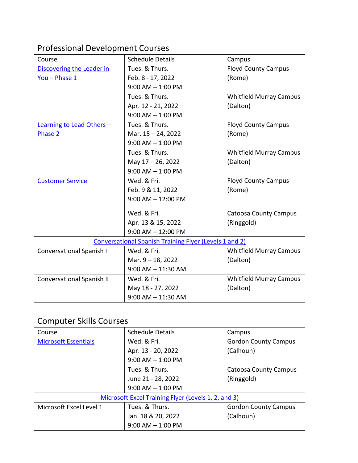# Professional Development Courses

| Course                    | <b>Schedule Details</b>                                       | Campus                         |
|---------------------------|---------------------------------------------------------------|--------------------------------|
| Discovering the Leader in | Tues. & Thurs.                                                | <b>Floyd County Campus</b>     |
| You - Phase 1             | Feb. 8 - 17, 2022                                             | (Rome)                         |
|                           | $9:00$ AM $- 1:00$ PM                                         |                                |
|                           | Tues. & Thurs.                                                | <b>Whitfield Murray Campus</b> |
|                           | Apr. 12 - 21, 2022                                            | (Dalton)                       |
|                           | $9:00$ AM $- 1:00$ PM                                         |                                |
| Learning to Lead Others - | Tues. & Thurs.                                                | <b>Floyd County Campus</b>     |
| Phase 2                   | Mar. 15-24, 2022                                              | (Rome)                         |
|                           | $9:00$ AM $-$ 1:00 PM                                         |                                |
|                           | Tues. & Thurs.                                                | <b>Whitfield Murray Campus</b> |
|                           | May 17-26, 2022                                               | (Dalton)                       |
|                           | $9:00$ AM $-$ 1:00 PM                                         |                                |
| <b>Customer Service</b>   | Wed. & Fri.                                                   | <b>Floyd County Campus</b>     |
|                           | Feb. 9 & 11, 2022                                             | (Rome)                         |
|                           | $9:00$ AM $- 12:00$ PM                                        |                                |
|                           | Wed. & Fri.                                                   | <b>Catoosa County Campus</b>   |
|                           | Apr. 13 & 15, 2022                                            | (Ringgold)                     |
|                           | $9:00$ AM $- 12:00$ PM                                        |                                |
|                           | <b>Conversational Spanish Training Flyer (Levels 1 and 2)</b> |                                |
| Conversational Spanish I  | Wed. & Fri.                                                   | <b>Whitfield Murray Campus</b> |
|                           | Mar. 9 - 18, 2022                                             | (Dalton)                       |
|                           | $9:00$ AM $- 11:30$ AM                                        |                                |
| Conversational Spanish II | Wed. & Fri.                                                   | <b>Whitfield Murray Campus</b> |
|                           | May 18 - 27, 2022                                             | (Dalton)                       |
|                           | $9:00$ AM $-$ 11:30 AM                                        |                                |

#### Computer Skills Courses

| Course                      | <b>Schedule Details</b>                             | Campus                       |
|-----------------------------|-----------------------------------------------------|------------------------------|
| <b>Microsoft Essentials</b> | Wed. & Fri.                                         | <b>Gordon County Campus</b>  |
|                             | Apr. 13 - 20, 2022                                  | (Calhoun)                    |
|                             | $9:00$ AM $-1:00$ PM                                |                              |
|                             | Tues. & Thurs.                                      | <b>Catoosa County Campus</b> |
|                             | June 21 - 28, 2022                                  | (Ringgold)                   |
|                             | $9:00$ AM $-$ 1:00 PM                               |                              |
|                             | Microsoft Excel Training Flyer (Levels 1, 2, and 3) |                              |
| Microsoft Excel Level 1     | Tues. & Thurs.                                      | <b>Gordon County Campus</b>  |
|                             | Jan. 18 & 20, 2022                                  | (Calhoun)                    |
|                             | $9:00$ AM $-1:00$ PM                                |                              |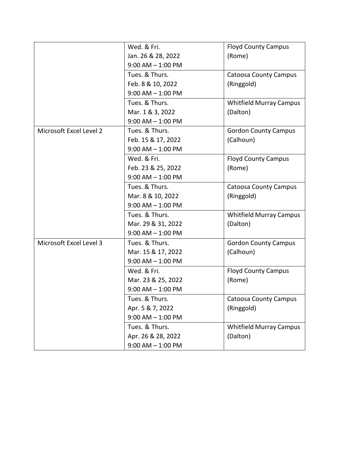|                         | Wed. & Fri.           | <b>Floyd County Campus</b>     |
|-------------------------|-----------------------|--------------------------------|
|                         | Jan. 26 & 28, 2022    | (Rome)                         |
|                         | $9:00$ AM $- 1:00$ PM |                                |
|                         | Tues. & Thurs.        | <b>Catoosa County Campus</b>   |
|                         | Feb. 8 & 10, 2022     | (Ringgold)                     |
|                         | $9:00$ AM $- 1:00$ PM |                                |
|                         | Tues. & Thurs.        | <b>Whitfield Murray Campus</b> |
|                         | Mar. 1 & 3, 2022      | (Dalton)                       |
|                         | $9:00$ AM $- 1:00$ PM |                                |
| Microsoft Excel Level 2 | Tues. & Thurs.        | <b>Gordon County Campus</b>    |
|                         | Feb. 15 & 17, 2022    | (Calhoun)                      |
|                         | $9:00$ AM $-$ 1:00 PM |                                |
|                         | Wed. & Fri.           | <b>Floyd County Campus</b>     |
|                         | Feb. 23 & 25, 2022    | (Rome)                         |
|                         | $9:00$ AM $-$ 1:00 PM |                                |
|                         | Tues. & Thurs.        | <b>Catoosa County Campus</b>   |
|                         | Mar. 8 & 10, 2022     | (Ringgold)                     |
|                         | $9:00$ AM $- 1:00$ PM |                                |
|                         | Tues. & Thurs.        | <b>Whitfield Murray Campus</b> |
|                         | Mar. 29 & 31, 2022    | (Dalton)                       |
|                         | $9:00$ AM $- 1:00$ PM |                                |
| Microsoft Excel Level 3 | Tues. & Thurs.        | <b>Gordon County Campus</b>    |
|                         | Mar. 15 & 17, 2022    | (Calhoun)                      |
|                         | $9:00$ AM $- 1:00$ PM |                                |
|                         | Wed. & Fri.           | <b>Floyd County Campus</b>     |
|                         | Mar. 23 & 25, 2022    | (Rome)                         |
|                         | $9:00$ AM $-$ 1:00 PM |                                |
|                         | Tues. & Thurs.        | <b>Catoosa County Campus</b>   |
|                         | Apr. 5 & 7, 2022      | (Ringgold)                     |
|                         | $9:00$ AM $- 1:00$ PM |                                |
|                         | Tues. & Thurs.        | <b>Whitfield Murray Campus</b> |
|                         | Apr. 26 & 28, 2022    | (Dalton)                       |
|                         | $9:00$ AM $-$ 1:00 PM |                                |